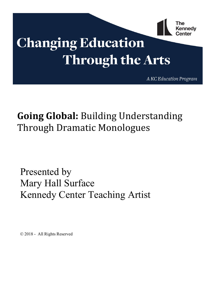

# **Changing Education Through the Arts**

A KC Education Program

## **Going Global:** Building Understanding Through Dramatic Monologues

Presented by Mary Hall Surface Kennedy Center Teaching Artist

© 2018 - All Rights Reserved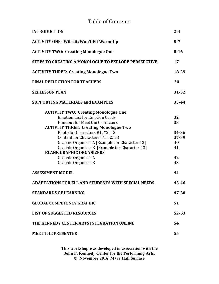#### Table of Contents

| <b>INTRODUCTION</b>                                         | $2 - 4$   |
|-------------------------------------------------------------|-----------|
| <b>ACTIVITY ONE: Will-fit/Won't-Fit Warm-Up</b>             | $5 - 7$   |
| <b>ACTIVITY TWO: Creating Monologue One</b>                 | $8 - 16$  |
| <b>STEPS TO CREATING A MONOLOGUE TO EXPLORE PERSEPCTIVE</b> | 17        |
| <b>ACTIVITY THREE: Creating Monologue Two</b>               | 18-29     |
| <b>FINAL REFLECTION FOR TEACHERS</b>                        | 30        |
| <b>SIX LESSON PLAN</b>                                      | 31-32     |
| <b>SUPPORTING MATERIALS and EXAMPLES</b>                    | 33-44     |
| <b>ACTIVITY TWO: Creating Monologue One</b>                 |           |
| <b>Emotion List for Emotion Cards</b>                       | 32        |
| <b>Handout for Meet the Characters</b>                      | 33        |
| <b>ACTIVITY THREE: Creating Monologue Two</b>               |           |
| Photo for Characters #1, #2, #3                             | 34-36     |
| Content for Characters #1, #2, #3                           | 37-39     |
| Graphic Organizer A [Example for Character #3]              | 40        |
| Graphic Organizer B [Example for Character #3]              | 41        |
| <b>BLANK GRAPHIC ORGANIZERS</b>                             |           |
| Graphic Organizer A<br>Graphic Organizer B                  | 42<br>43  |
|                                                             |           |
| <b>ASSESSMENT MODEL</b>                                     | 44        |
| <b>ADAPTATIONS FOR ELL AND STUDENTS WITH SPECIAL NEEDS</b>  | 45-46     |
| <b>STANDARDS OF LEARNING</b>                                | 47-50     |
| <b>GLOBAL COMPETENCY GRAPHIC</b>                            | 51        |
| <b>LIST OF SUGGESTED RESOURCES</b>                          | $52 - 53$ |
| THE KENNEDY CENTER ARTS INTEGRATION ONLINE                  | 54        |
| <b>MEET THE PRESENTER</b>                                   | 55        |

**This workshop was developed in association with the John F. Kennedy Center for the Performing Arts. © November 2016 Mary Hall Surface**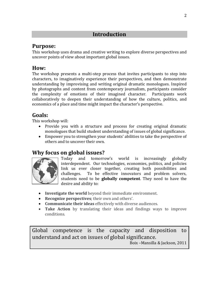#### **Introduction**

#### **Purpose:**

This workshop uses drama and creative writing to explore diverse perspectives and uncover points of view about important global issues.

#### **How:**

The workshop presents a multi-step process that invites participants to step into characters, to imaginatively experience their perspectives, and then demonstrate understanding by improvising and writing original dramatic monologues. Inspired by photographs and content from contemporary journalism, participants consider the complexity of emotions of their imagined character. Participants work collaboratively to deepen their understanding of how the culture, politics, and economics of a place and time might impact the character's perspective.

#### **Goals:**

This workshop will:

- Provide you with a structure and process for creating original dramatic monologues that build student understanding of issues of global significance.
- Empower you to strengthen your students' abilities to take the perspective of others and to uncover their own.

#### **Why focus on global issues?**



Today and tomorrow's world is increasingly globally interdependent. Our technologies, economies, politics, and policies link us ever closer together, creating both possibilities and challenges. To be effective innovators and problem solvers, students need to be **globally competent**. They need to have the desire and ability to:

- **Investigate the world** beyond their immediate environment.
- **Recognize perspectives**; their own and others'.
- **Communicate their ideas** effectively with diverse audiences.
- Take Action by translating their ideas and findings ways to improve conditions.

Global competence is the capacity and disposition to understand and act on issues of global significance.

Boix –Mansilla & Jackson, 2011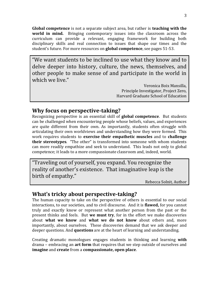**Global competence** is not a separate subject area, but rather is **teaching with the world in mind.** Bringing contemporary issues into the classroom across the curriculum can provide a relevant, engaging framework for building both disciplinary skills and real connection to issues that shape our times and the student's future. For more resources on **global competence**, see pages 51-53.

"We want students to be inclined to use what they know and to delve deeper into history, culture, the news, themselves, and other people to make sense of and participate in the world in which we live."

> Veronica Boix Mansilla, Principle Investigator, Project Zero, Harvard Graduate School of Education

#### **Why focus on perspective-taking?**

Recognizing perspective is an essential skill of **global competence**. But students can be challenged when encountering people whose beliefs, values, and experiences are quite different from their own. As importantly, students often struggle with articulating their own worldviews and understanding how they were formed. This work requires students to **exercise their empathetic muscles** and to **challenge their stereotypes**. "The other" is transformed into someone with whom students can more readily empathize and seek to understand. This leads not only to global competence; it leads to a more compassionate classroom and, indeed, world.

"Traveling out of yourself, you expand. You recognize the reality of another's existence. That imaginative leap is the birth of empathy."

Rebecca Solnit, Author

#### **What's tricky about perspective-taking?**

The human capacity to take on the perspective of others is essential to our social interactions, to our societies, and to civil discourse. And it is **flawed,** for you cannot truly and exactly know or represent what another person from the past or the present thinks and feels. But **we must try**, for in the effort we make discoveries about **what we know** and **what we do not know** about others and, more importantly, about ourselves. These discoveries demand that we ask deeper and deeper questions. And **questions** are at the heart of learning and understanding.

Creating dramatic monologues engages students in thinking and learning **with** drama – embracing an **art form** that requires that we step outside of ourselves and **imagine** and **create** from a **compassionate, open place**.